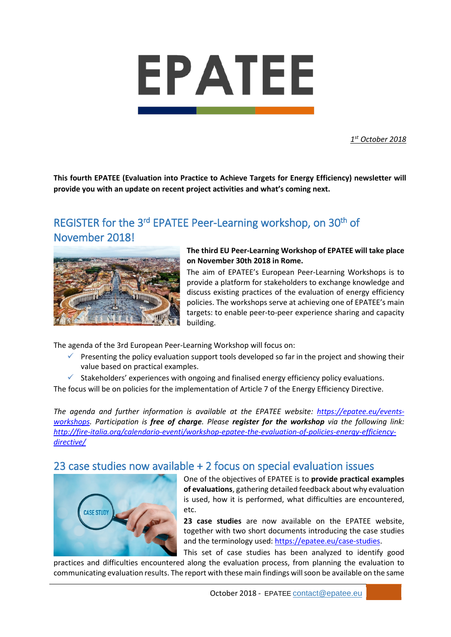

*1st October 2018*

**This fourth EPATEE (Evaluation into Practice to Achieve Targets for Energy Efficiency) newsletter will provide you with an update on recent project activities and what's coming next.**

## REGISTER for the 3<sup>rd</sup> EPATEE Peer-Learning workshop, on 30<sup>th</sup> of November 2018!



**The third EU Peer-Learning Workshop of EPATEE will take place on November 30th 2018 in Rome.**

The aim of EPATEE's European Peer-Learning Workshops is to provide a platform for stakeholders to exchange knowledge and discuss existing practices of the evaluation of energy efficiency policies. The workshops serve at achieving one of EPATEE's main targets: to enable peer-to-peer experience sharing and capacity building.

The agenda of the 3rd European Peer-Learning Workshop will focus on:

- Presenting the policy evaluation support tools developed so far in the project and showing their value based on practical examples.
- $\checkmark$  Stakeholders' experiences with ongoing and finalised energy efficiency policy evaluations.

The focus will be on policies for the implementation of Article 7 of the Energy Efficiency Directive.

*The agenda and further information is available at the EPATEE website: [https://epatee.eu/events](https://epatee.eu/events-workshops)[workshops.](https://epatee.eu/events-workshops) Participation is free of charge. Please register for the workshop via the following link: [http://fire-italia.org/calendario-eventi/workshop-epatee-the-evaluation-of-policies-energy-efficiency](http://fire-italia.org/calendario-eventi/workshop-epatee-the-evaluation-of-policies-energy-efficiency-directive/)[directive/](http://fire-italia.org/calendario-eventi/workshop-epatee-the-evaluation-of-policies-energy-efficiency-directive/)*

#### 23 case studies now available + 2 focus on special evaluation issues



One of the objectives of EPATEE is to **provide practical examples of evaluations**, gathering detailed feedback about why evaluation is used, how it is performed, what difficulties are encountered, etc.

**23 case studies** are now available on the EPATEE website, together with two short documents introducing the case studies and the terminology used: [https://epatee.eu/case-studies.](https://epatee.eu/case-studies)

This set of case studies has been analyzed to identify good practices and difficulties encountered along the evaluation process, from planning the evaluation to communicating evaluation results. The report with these main findings will soon be available on the same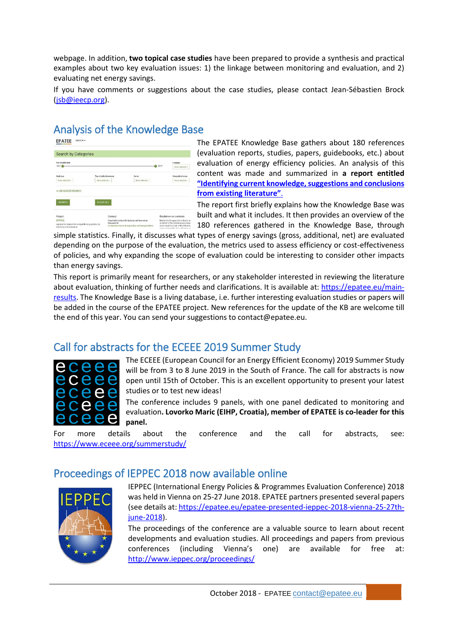webpage. In addition, **two topical case studies** have been prepared to provide a synthesis and practical examples about two key evaluation issues: 1) the linkage between monitoring and evaluation, and 2) evaluating net energy savings.

If you have comments or suggestions about the case studies, please contact Jean-Sébastien Brock [\(jsb@ieecp.org\)](mailto:jsb@ieecp.org).

# Analysis of the Knowledge Base

| Your of publication<br>1984 |                  |                           |                                                 |                | Language                                                                      |
|-----------------------------|------------------|---------------------------|-------------------------------------------------|----------------|-------------------------------------------------------------------------------|
|                             |                  |                           |                                                 | <b>30 2017</b> | None pelected -                                                               |
| Study type                  |                  | Type of policy instrument | Sector                                          |                | Geographical scope                                                            |
| Note selected -             | None selected -  |                           | None celected -                                 |                | None selected -                                                               |
| ADVANCED SEARCH             |                  |                           |                                                 |                |                                                                               |
|                             | <b>CLEAR ALL</b> |                           |                                                 |                |                                                                               |
| <b>SEARCH</b>               |                  |                           |                                                 |                |                                                                               |
|                             |                  | Contact                   |                                                 |                | Disclaimer on contents.                                                       |
| Project<br><b>EPATEE</b>    |                  | Research ISI              | Fraunhofer Institute for Systems and Innovation |                | Neither the European Commission nor<br>on behalf of the Commission is respon- |

The EPATEE Knowledge Base gathers about 180 references (evaluation reports, studies, papers, guidebooks, etc.) about evaluation of energy efficiency policies. An analysis of this content was made and summarized in **a report entitled ["Identifying current knowledge, suggestions and conclusions](https://epatee.eu/sites/default/files/epatee_t3.1_report_on_the_knowledge_base_vfinal.pdf)  [from existing literature"](https://epatee.eu/sites/default/files/epatee_t3.1_report_on_the_knowledge_base_vfinal.pdf)**.

The report first briefly explains how the Knowledge Base was built and what it includes. It then provides an overview of the 180 references gathered in the Knowledge Base, through

simple statistics. Finally, it discusses what types of energy savings (gross, additional, net) are evaluated depending on the purpose of the evaluation, the metrics used to assess efficiency or cost-effectiveness of policies, and why expanding the scope of evaluation could be interesting to consider other impacts than energy savings.

This report is primarily meant for researchers, or any stakeholder interested in reviewing the literature about evaluation, thinking of further needs and clarifications. It is available at: [https://epatee.eu/main](https://epatee.eu/main-results)[results.](https://epatee.eu/main-results) The Knowledge Base is a living database, i.e. further interesting evaluation studies or papers will be added in the course of the EPATEE project. New references for the update of the KB are welcome till the end of this year. You can send your suggestions to contact@epatee.eu.

#### Call for abstracts for the ECEEE 2019 Summer Study



The ECEEE (European Council for an Energy Efficient Economy) 2019 Summer Study will be from 3 to 8 June 2019 in the South of France. The call for abstracts is now open until 15th of October. This is an excellent opportunity to present your latest studies or to test new ideas!

The conference includes 9 panels, with one panel dedicated to monitoring and evaluation**. Lovorko Maric (EIHP, Croatia), member of EPATEE is co-leader for this panel.**

For more details about the conference and the call for abstracts, see: <https://www.eceee.org/summerstudy/>

#### Proceedings of IEPPEC 2018 now available online



IEPPEC (International Energy Policies & Programmes Evaluation Conference) 2018 was held in Vienna on 25-27 June 2018. EPATEE partners presented several papers (see details at: [https://epatee.eu/epatee-presented-ieppec-2018-vienna-25-27th](https://epatee.eu/epatee-presented-ieppec-2018-vienna-25-27th-june-2018)[june-2018\)](https://epatee.eu/epatee-presented-ieppec-2018-vienna-25-27th-june-2018).

The proceedings of the conference are a valuable source to learn about recent developments and evaluation studies. All proceedings and papers from previous conferences (including Vienna's one) are available for free at: <http://www.ieppec.org/proceedings/>